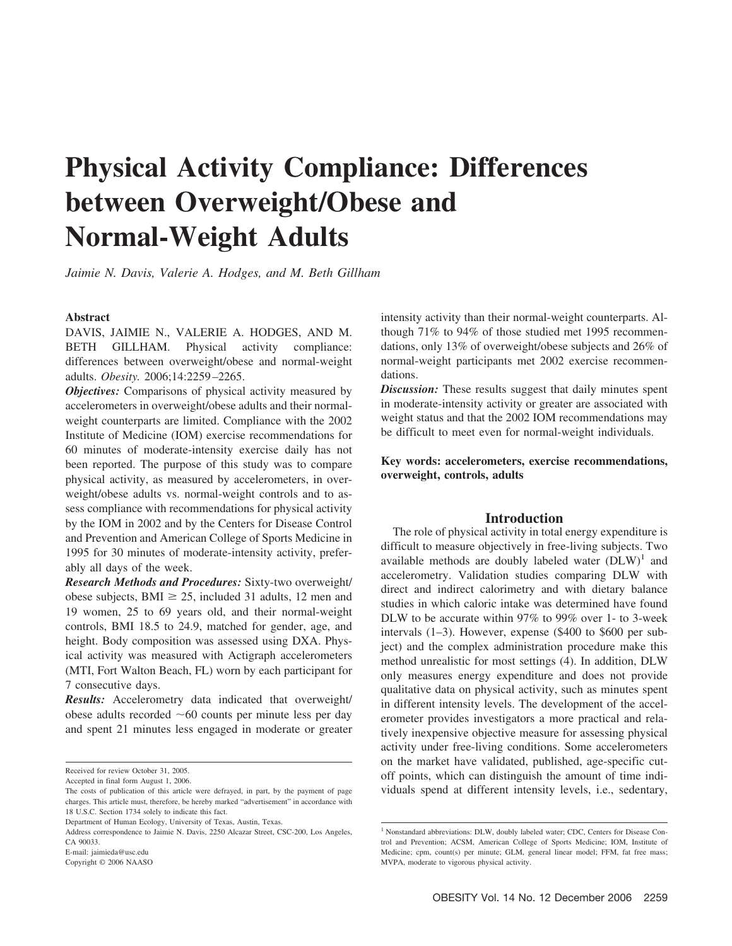# **Physical Activity Compliance: Differences between Overweight/Obese and Normal-Weight Adults**

*Jaimie N. Davis, Valerie A. Hodges, and M. Beth Gillham*

#### **Abstract**

DAVIS, JAIMIE N., VALERIE A. HODGES, AND M. BETH GILLHAM. Physical activity compliance: differences between overweight/obese and normal-weight adults. *Obesity.* 2006;14:2259 –2265.

*Objectives:* Comparisons of physical activity measured by accelerometers in overweight/obese adults and their normalweight counterparts are limited. Compliance with the 2002 Institute of Medicine (IOM) exercise recommendations for 60 minutes of moderate-intensity exercise daily has not been reported. The purpose of this study was to compare physical activity, as measured by accelerometers, in overweight/obese adults vs. normal-weight controls and to assess compliance with recommendations for physical activity by the IOM in 2002 and by the Centers for Disease Control and Prevention and American College of Sports Medicine in 1995 for 30 minutes of moderate-intensity activity, preferably all days of the week.

*Research Methods and Procedures:* Sixty-two overweight/ obese subjects, BMI  $\geq$  25, included 31 adults, 12 men and 19 women, 25 to 69 years old, and their normal-weight controls, BMI 18.5 to 24.9, matched for gender, age, and height. Body composition was assessed using DXA. Physical activity was measured with Actigraph accelerometers (MTI, Fort Walton Beach, FL) worn by each participant for 7 consecutive days.

*Results:* Accelerometry data indicated that overweight/ obese adults recorded  $~60$  counts per minute less per day and spent 21 minutes less engaged in moderate or greater

Copyright © 2006 NAASO

intensity activity than their normal-weight counterparts. Although 71% to 94% of those studied met 1995 recommendations, only 13% of overweight/obese subjects and 26% of normal-weight participants met 2002 exercise recommendations.

*Discussion:* These results suggest that daily minutes spent in moderate-intensity activity or greater are associated with weight status and that the 2002 IOM recommendations may be difficult to meet even for normal-weight individuals.

# **Key words: accelerometers, exercise recommendations, overweight, controls, adults**

# **Introduction**

The role of physical activity in total energy expenditure is difficult to measure objectively in free-living subjects. Two available methods are doubly labeled water  $(DLW)^1$  and accelerometry. Validation studies comparing DLW with direct and indirect calorimetry and with dietary balance studies in which caloric intake was determined have found DLW to be accurate within 97% to 99% over 1- to 3-week intervals (1–3). However, expense (\$400 to \$600 per subject) and the complex administration procedure make this method unrealistic for most settings (4). In addition, DLW only measures energy expenditure and does not provide qualitative data on physical activity, such as minutes spent in different intensity levels. The development of the accelerometer provides investigators a more practical and relatively inexpensive objective measure for assessing physical activity under free-living conditions. Some accelerometers on the market have validated, published, age-specific cutoff points, which can distinguish the amount of time individuals spend at different intensity levels, i.e., sedentary,

Received for review October 31, 2005.

Accepted in final form August 1, 2006.

The costs of publication of this article were defrayed, in part, by the payment of page charges. This article must, therefore, be hereby marked "advertisement" in accordance with 18 U.S.C. Section 1734 solely to indicate this fact.

Department of Human Ecology, University of Texas, Austin, Texas.

Address correspondence to Jaimie N. Davis, 2250 Alcazar Street, CSC-200, Los Angeles, CA 90033.

E-mail: jaimieda@usc.edu

<sup>&</sup>lt;sup>1</sup> Nonstandard abbreviations: DLW, doubly labeled water; CDC, Centers for Disease Control and Prevention; ACSM, American College of Sports Medicine; IOM, Institute of Medicine: cpm, count(s) per minute; GLM, general linear model; FFM, fat free mass; MVPA, moderate to vigorous physical activity.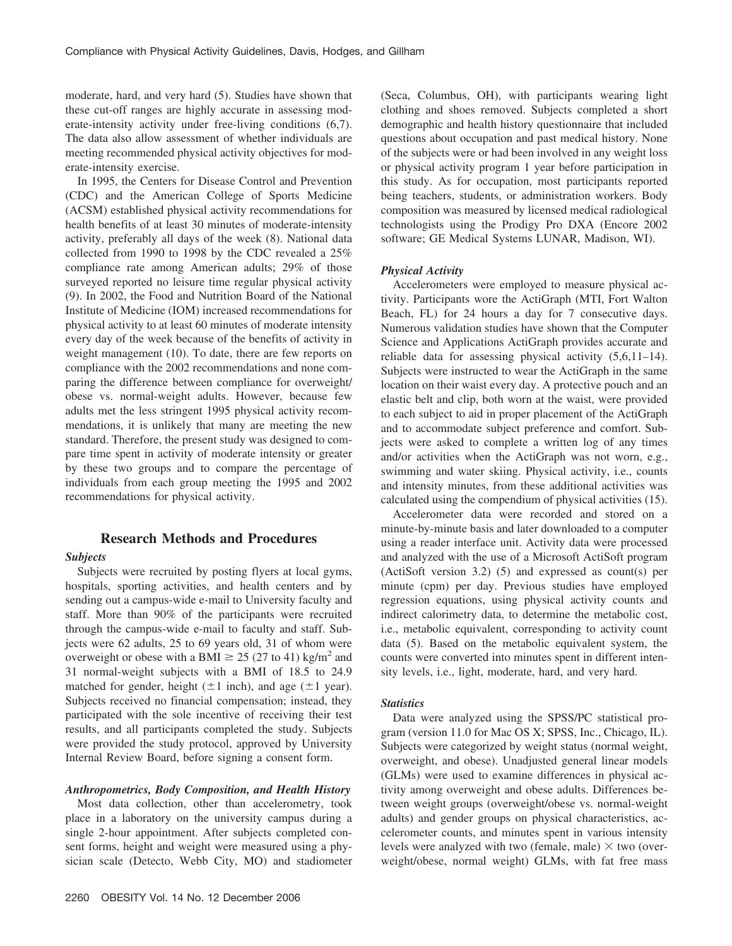moderate, hard, and very hard (5). Studies have shown that these cut-off ranges are highly accurate in assessing moderate-intensity activity under free-living conditions (6,7). The data also allow assessment of whether individuals are meeting recommended physical activity objectives for moderate-intensity exercise.

In 1995, the Centers for Disease Control and Prevention (CDC) and the American College of Sports Medicine (ACSM) established physical activity recommendations for health benefits of at least 30 minutes of moderate-intensity activity, preferably all days of the week (8). National data collected from 1990 to 1998 by the CDC revealed a 25% compliance rate among American adults; 29% of those surveyed reported no leisure time regular physical activity (9). In 2002, the Food and Nutrition Board of the National Institute of Medicine (IOM) increased recommendations for physical activity to at least 60 minutes of moderate intensity every day of the week because of the benefits of activity in weight management (10). To date, there are few reports on compliance with the 2002 recommendations and none comparing the difference between compliance for overweight/ obese vs. normal-weight adults. However, because few adults met the less stringent 1995 physical activity recommendations, it is unlikely that many are meeting the new standard. Therefore, the present study was designed to compare time spent in activity of moderate intensity or greater by these two groups and to compare the percentage of individuals from each group meeting the 1995 and 2002 recommendations for physical activity.

# **Research Methods and Procedures**

### *Subjects*

Subjects were recruited by posting flyers at local gyms, hospitals, sporting activities, and health centers and by sending out a campus-wide e-mail to University faculty and staff. More than 90% of the participants were recruited through the campus-wide e-mail to faculty and staff. Subjects were 62 adults, 25 to 69 years old, 31 of whom were overweight or obese with a BMI  $\geq$  25 (27 to 41) kg/m<sup>2</sup> and 31 normal-weight subjects with a BMI of 18.5 to 24.9 matched for gender, height  $(\pm 1$  inch), and age  $(\pm 1$  year). Subjects received no financial compensation; instead, they participated with the sole incentive of receiving their test results, and all participants completed the study. Subjects were provided the study protocol, approved by University Internal Review Board, before signing a consent form.

# *Anthropometrics, Body Composition, and Health History*

Most data collection, other than accelerometry, took place in a laboratory on the university campus during a single 2-hour appointment. After subjects completed consent forms, height and weight were measured using a physician scale (Detecto, Webb City, MO) and stadiometer (Seca, Columbus, OH), with participants wearing light clothing and shoes removed. Subjects completed a short demographic and health history questionnaire that included questions about occupation and past medical history. None of the subjects were or had been involved in any weight loss or physical activity program 1 year before participation in this study. As for occupation, most participants reported being teachers, students, or administration workers. Body composition was measured by licensed medical radiological technologists using the Prodigy Pro DXA (Encore 2002 software; GE Medical Systems LUNAR, Madison, WI).

#### *Physical Activity*

Accelerometers were employed to measure physical activity. Participants wore the ActiGraph (MTI, Fort Walton Beach, FL) for 24 hours a day for 7 consecutive days. Numerous validation studies have shown that the Computer Science and Applications ActiGraph provides accurate and reliable data for assessing physical activity (5,6,11–14). Subjects were instructed to wear the ActiGraph in the same location on their waist every day. A protective pouch and an elastic belt and clip, both worn at the waist, were provided to each subject to aid in proper placement of the ActiGraph and to accommodate subject preference and comfort. Subjects were asked to complete a written log of any times and/or activities when the ActiGraph was not worn, e.g., swimming and water skiing. Physical activity, i.e., counts and intensity minutes, from these additional activities was calculated using the compendium of physical activities (15).

Accelerometer data were recorded and stored on a minute-by-minute basis and later downloaded to a computer using a reader interface unit. Activity data were processed and analyzed with the use of a Microsoft ActiSoft program (ActiSoft version 3.2) (5) and expressed as count(s) per minute (cpm) per day. Previous studies have employed regression equations, using physical activity counts and indirect calorimetry data, to determine the metabolic cost, i.e., metabolic equivalent, corresponding to activity count data (5). Based on the metabolic equivalent system, the counts were converted into minutes spent in different intensity levels, i.e., light, moderate, hard, and very hard.

#### *Statistics*

Data were analyzed using the SPSS/PC statistical program (version 11.0 for Mac OS X; SPSS, Inc., Chicago, IL). Subjects were categorized by weight status (normal weight, overweight, and obese). Unadjusted general linear models (GLMs) were used to examine differences in physical activity among overweight and obese adults. Differences between weight groups (overweight/obese vs. normal-weight adults) and gender groups on physical characteristics, accelerometer counts, and minutes spent in various intensity levels were analyzed with two (female, male)  $\times$  two (overweight/obese, normal weight) GLMs, with fat free mass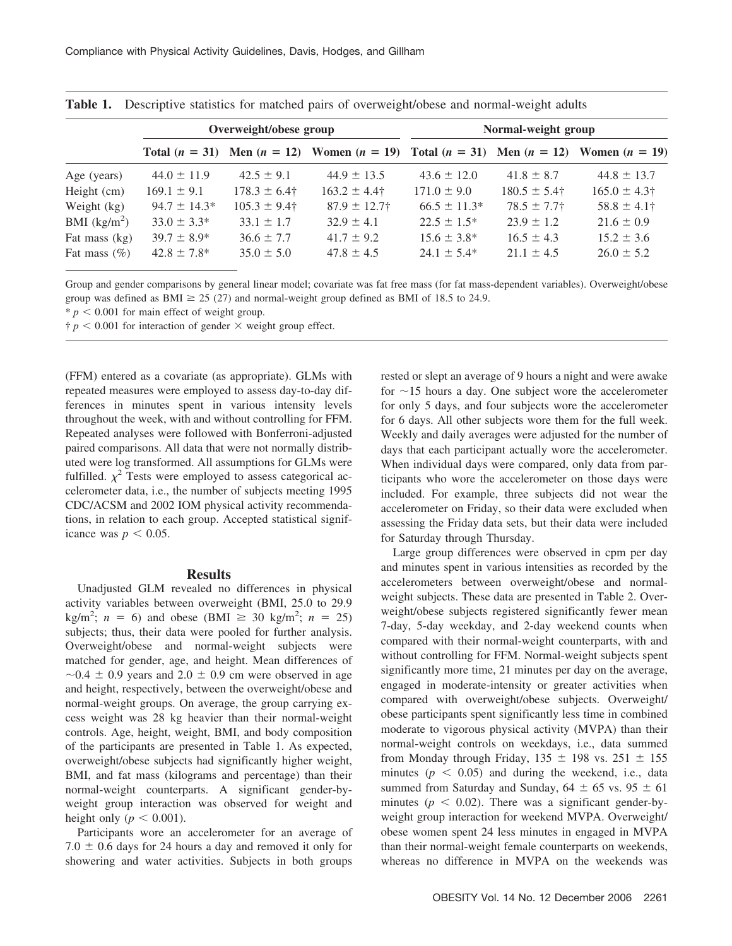|                 |                  | Overweight/obese group    |                                                                                                   | Normal-weight group |                           |                  |  |  |
|-----------------|------------------|---------------------------|---------------------------------------------------------------------------------------------------|---------------------|---------------------------|------------------|--|--|
|                 |                  |                           | Total $(n = 31)$ Men $(n = 12)$ Women $(n = 19)$ Total $(n = 31)$ Men $(n = 12)$ Women $(n = 19)$ |                     |                           |                  |  |  |
| Age (years)     | $44.0 \pm 11.9$  | $42.5 \pm 9.1$            | $44.9 \pm 13.5$                                                                                   | $43.6 \pm 12.0$     | $41.8 \pm 8.7$            | $44.8 \pm 13.7$  |  |  |
| Height (cm)     | $169.1 \pm 9.1$  | $178.3 \pm 6.4^{\dagger}$ | $163.2 \pm 4.4^{\dagger}$                                                                         | $171.0 \pm 9.0$     | $180.5 \pm 5.4^{\dagger}$ | $165.0 \pm 4.3$  |  |  |
| Weight (kg)     | $94.7 \pm 14.3*$ | $105.3 \pm 9.4^{\dagger}$ | $87.9 \pm 12.7$ †                                                                                 | $66.5 \pm 11.3*$    | $78.5 \pm 7.7$ †          | $58.8 \pm 4.1$ † |  |  |
| BMI $(kg/m^2)$  | $33.0 \pm 3.3^*$ | $33.1 \pm 1.7$            | $32.9 \pm 4.1$                                                                                    | $22.5 \pm 1.5^*$    | $23.9 \pm 1.2$            | $21.6 \pm 0.9$   |  |  |
| Fat mass (kg)   | $39.7 \pm 8.9^*$ | $36.6 \pm 7.7$            | $41.7 \pm 9.2$                                                                                    | $15.6 \pm 3.8^*$    | $16.5 \pm 4.3$            | $15.2 \pm 3.6$   |  |  |
| Fat mass $(\%)$ | $42.8 \pm 7.8^*$ | $35.0 \pm 5.0$            | $47.8 \pm 4.5$                                                                                    | $24.1 \pm 5.4*$     | $21.1 \pm 4.5$            | $26.0 \pm 5.2$   |  |  |

**Table 1.** Descriptive statistics for matched pairs of overweight/obese and normal-weight adults

Group and gender comparisons by general linear model; covariate was fat free mass (for fat mass-dependent variables). Overweight/obese group was defined as BMI  $\geq$  25 (27) and normal-weight group defined as BMI of 18.5 to 24.9.

 $* p < 0.001$  for main effect of weight group.

 $\dagger p$  < 0.001 for interaction of gender  $\times$  weight group effect.

(FFM) entered as a covariate (as appropriate). GLMs with repeated measures were employed to assess day-to-day differences in minutes spent in various intensity levels throughout the week, with and without controlling for FFM. Repeated analyses were followed with Bonferroni-adjusted paired comparisons. All data that were not normally distributed were log transformed. All assumptions for GLMs were fulfilled.  $\chi^2$  Tests were employed to assess categorical accelerometer data, i.e., the number of subjects meeting 1995 CDC/ACSM and 2002 IOM physical activity recommendations, in relation to each group. Accepted statistical significance was  $p < 0.05$ .

#### **Results**

Unadjusted GLM revealed no differences in physical activity variables between overweight (BMI, 25.0 to 29.9  $kg/m^2$ ; *n* = 6) and obese (BMI  $\geq$  30 kg/m<sup>2</sup>; *n* = 25) subjects; thus, their data were pooled for further analysis. Overweight/obese and normal-weight subjects were matched for gender, age, and height. Mean differences of  $\sim$  0.4  $\pm$  0.9 years and 2.0  $\pm$  0.9 cm were observed in age and height, respectively, between the overweight/obese and normal-weight groups. On average, the group carrying excess weight was 28 kg heavier than their normal-weight controls. Age, height, weight, BMI, and body composition of the participants are presented in Table 1. As expected, overweight/obese subjects had significantly higher weight, BMI, and fat mass (kilograms and percentage) than their normal-weight counterparts. A significant gender-byweight group interaction was observed for weight and height only ( $p < 0.001$ ).

Participants wore an accelerometer for an average of  $7.0 \pm 0.6$  days for 24 hours a day and removed it only for showering and water activities. Subjects in both groups rested or slept an average of 9 hours a night and were awake for  $\sim$ 15 hours a day. One subject wore the accelerometer for only 5 days, and four subjects wore the accelerometer for 6 days. All other subjects wore them for the full week. Weekly and daily averages were adjusted for the number of days that each participant actually wore the accelerometer. When individual days were compared, only data from participants who wore the accelerometer on those days were included. For example, three subjects did not wear the accelerometer on Friday, so their data were excluded when assessing the Friday data sets, but their data were included for Saturday through Thursday.

Large group differences were observed in cpm per day and minutes spent in various intensities as recorded by the accelerometers between overweight/obese and normalweight subjects. These data are presented in Table 2. Overweight/obese subjects registered significantly fewer mean 7-day, 5-day weekday, and 2-day weekend counts when compared with their normal-weight counterparts, with and without controlling for FFM. Normal-weight subjects spent significantly more time, 21 minutes per day on the average, engaged in moderate-intensity or greater activities when compared with overweight/obese subjects. Overweight/ obese participants spent significantly less time in combined moderate to vigorous physical activity (MVPA) than their normal-weight controls on weekdays, i.e., data summed from Monday through Friday,  $135 \pm 198$  vs.  $251 \pm 155$ minutes  $(p < 0.05)$  and during the weekend, i.e., data summed from Saturday and Sunday,  $64 \pm 65$  vs.  $95 \pm 61$ minutes ( $p < 0.02$ ). There was a significant gender-byweight group interaction for weekend MVPA. Overweight/ obese women spent 24 less minutes in engaged in MVPA than their normal-weight female counterparts on weekends, whereas no difference in MVPA on the weekends was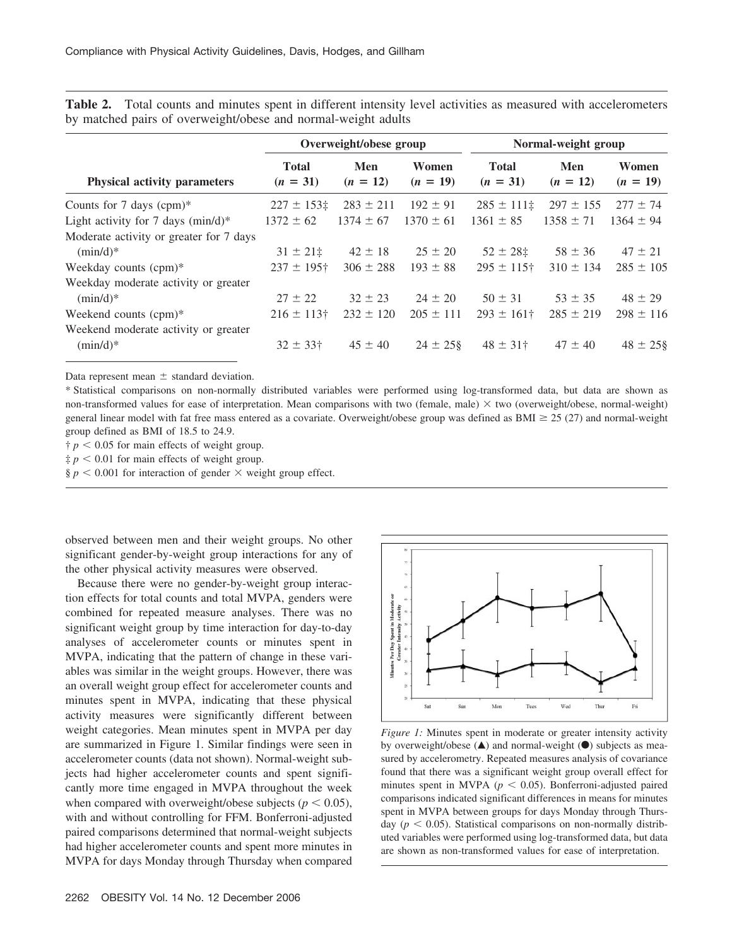**Table 2.** Total counts and minutes spent in different intensity level activities as measured with accelerometers by matched pairs of overweight/obese and normal-weight adults

|                                                       | Overweight/obese group     |                   |                     | Normal-weight group        |                   |                     |
|-------------------------------------------------------|----------------------------|-------------------|---------------------|----------------------------|-------------------|---------------------|
| <b>Physical activity parameters</b>                   | <b>Total</b><br>$(n = 31)$ | Men<br>$(n = 12)$ | Women<br>$(n = 19)$ | <b>Total</b><br>$(n = 31)$ | Men<br>$(n = 12)$ | Women<br>$(n = 19)$ |
| Counts for 7 days $(cpm)^*$                           | $227 \pm 153$              | $283 \pm 211$     | $192 \pm 91$        | $285 \pm 111$ ‡            | $297 \pm 155$     | $277 \pm 74$        |
| Light activity for 7 days $(min/d)*$                  | $1372 \pm 62$              | $1374 \pm 67$     | $1370 \pm 61$       | $1361 \pm 85$              | $1358 \pm 71$     | $1364 \pm 94$       |
| Moderate activity or greater for 7 days<br>$(min/d)*$ | $31 \pm 21$ ‡              | $42 \pm 18$       | $25 \pm 20$         | $52 \pm 28$ ±              | $58 \pm 36$       | $47 \pm 21$         |
| Weekday counts $(cpm)^*$                              | $237 \pm 195$ <sup>+</sup> | $306 \pm 288$     | $193 \pm 88$        | $295 \pm 115$ †            | $310 \pm 134$     | $285 \pm 105$       |
| Weekday moderate activity or greater<br>$(min/d)*$    | $27 \pm 22$                | $32 \pm 23$       | $24 \pm 20$         | $50 \pm 31$                | $53 \pm 35$       | $48 \pm 29$         |
| Weekend counts (cpm)*                                 | $216 \pm 113$ †            | $232 \pm 120$     | $205 \pm 111$       | $293 \pm 161$ †            | $285 \pm 219$     | $298 \pm 116$       |
| Weekend moderate activity or greater<br>$(min/d)*$    | $32 \pm 33$ †              | $45 \pm 40$       | $24 \pm 258$        | $48 \pm 31$ †              | $47 \pm 40$       | $48 \pm 25$ §       |

Data represent mean  $\pm$  standard deviation.

\* Statistical comparisons on non-normally distributed variables were performed using log-transformed data, but data are shown as non-transformed values for ease of interpretation. Mean comparisons with two (female, male)  $\times$  two (overweight/obese, normal-weight) general linear model with fat free mass entered as a covariate. Overweight/obese group was defined as BMI  $\geq$  25 (27) and normal-weight group defined as BMI of 18.5 to 24.9.

 $\uparrow$  *p* < 0.05 for main effects of weight group.

 $\frac{1}{2} p \leq 0.01$  for main effects of weight group.

 $\S p \leq 0.001$  for interaction of gender  $\times$  weight group effect.

observed between men and their weight groups. No other significant gender-by-weight group interactions for any of the other physical activity measures were observed.

Because there were no gender-by-weight group interaction effects for total counts and total MVPA, genders were combined for repeated measure analyses. There was no significant weight group by time interaction for day-to-day analyses of accelerometer counts or minutes spent in MVPA, indicating that the pattern of change in these variables was similar in the weight groups. However, there was an overall weight group effect for accelerometer counts and minutes spent in MVPA, indicating that these physical activity measures were significantly different between weight categories. Mean minutes spent in MVPA per day are summarized in Figure 1. Similar findings were seen in accelerometer counts (data not shown). Normal-weight subjects had higher accelerometer counts and spent significantly more time engaged in MVPA throughout the week when compared with overweight/obese subjects ( $p < 0.05$ ), with and without controlling for FFM. Bonferroni-adjusted paired comparisons determined that normal-weight subjects had higher accelerometer counts and spent more minutes in MVPA for days Monday through Thursday when compared



*Figure 1:* Minutes spent in moderate or greater intensity activity by overweight/obese  $($ **A** $)$  and normal-weight  $($  $)$  subjects as measured by accelerometry. Repeated measures analysis of covariance found that there was a significant weight group overall effect for minutes spent in MVPA ( $p < 0.05$ ). Bonferroni-adjusted paired comparisons indicated significant differences in means for minutes spent in MVPA between groups for days Monday through Thursday ( $p < 0.05$ ). Statistical comparisons on non-normally distributed variables were performed using log-transformed data, but data are shown as non-transformed values for ease of interpretation.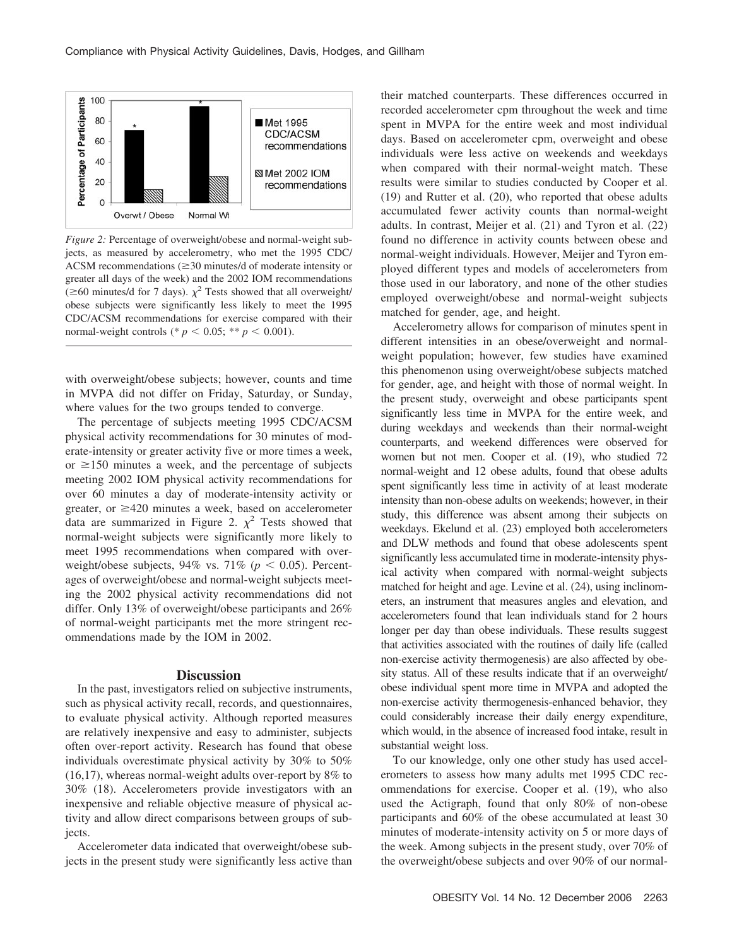

*Figure 2:* Percentage of overweight/obese and normal-weight subjects, as measured by accelerometry, who met the 1995 CDC/ ACSM recommendations  $(\geq 30 \text{ minutes/d of moderate intensity or})$ greater all days of the week) and the 2002 IOM recommendations  $\approx$  60 minutes/d for 7 days).  $\chi^2$  Tests showed that all overweight/ obese subjects were significantly less likely to meet the 1995 CDC/ACSM recommendations for exercise compared with their normal-weight controls (\*  $p < 0.05$ ; \*\*  $p < 0.001$ ).

with overweight/obese subjects; however, counts and time in MVPA did not differ on Friday, Saturday, or Sunday, where values for the two groups tended to converge.

The percentage of subjects meeting 1995 CDC/ACSM physical activity recommendations for 30 minutes of moderate-intensity or greater activity five or more times a week, or  $\geq 150$  minutes a week, and the percentage of subjects meeting 2002 IOM physical activity recommendations for over 60 minutes a day of moderate-intensity activity or greater, or  $\geq$ 420 minutes a week, based on accelerometer data are summarized in Figure 2.  $\chi^2$  Tests showed that normal-weight subjects were significantly more likely to meet 1995 recommendations when compared with overweight/obese subjects,  $94\%$  vs.  $71\%$  ( $p < 0.05$ ). Percentages of overweight/obese and normal-weight subjects meeting the 2002 physical activity recommendations did not differ. Only 13% of overweight/obese participants and 26% of normal-weight participants met the more stringent recommendations made by the IOM in 2002.

#### **Discussion**

In the past, investigators relied on subjective instruments, such as physical activity recall, records, and questionnaires, to evaluate physical activity. Although reported measures are relatively inexpensive and easy to administer, subjects often over-report activity. Research has found that obese individuals overestimate physical activity by 30% to 50% (16,17), whereas normal-weight adults over-report by 8% to 30% (18). Accelerometers provide investigators with an inexpensive and reliable objective measure of physical activity and allow direct comparisons between groups of subjects.

Accelerometer data indicated that overweight/obese subjects in the present study were significantly less active than their matched counterparts. These differences occurred in recorded accelerometer cpm throughout the week and time spent in MVPA for the entire week and most individual days. Based on accelerometer cpm, overweight and obese individuals were less active on weekends and weekdays when compared with their normal-weight match. These results were similar to studies conducted by Cooper et al. (19) and Rutter et al. (20), who reported that obese adults accumulated fewer activity counts than normal-weight adults. In contrast, Meijer et al. (21) and Tyron et al. (22) found no difference in activity counts between obese and normal-weight individuals. However, Meijer and Tyron employed different types and models of accelerometers from those used in our laboratory, and none of the other studies employed overweight/obese and normal-weight subjects matched for gender, age, and height.

Accelerometry allows for comparison of minutes spent in different intensities in an obese/overweight and normalweight population; however, few studies have examined this phenomenon using overweight/obese subjects matched for gender, age, and height with those of normal weight. In the present study, overweight and obese participants spent significantly less time in MVPA for the entire week, and during weekdays and weekends than their normal-weight counterparts, and weekend differences were observed for women but not men. Cooper et al. (19), who studied 72 normal-weight and 12 obese adults, found that obese adults spent significantly less time in activity of at least moderate intensity than non-obese adults on weekends; however, in their study, this difference was absent among their subjects on weekdays. Ekelund et al. (23) employed both accelerometers and DLW methods and found that obese adolescents spent significantly less accumulated time in moderate-intensity physical activity when compared with normal-weight subjects matched for height and age. Levine et al. (24), using inclinometers, an instrument that measures angles and elevation, and accelerometers found that lean individuals stand for 2 hours longer per day than obese individuals. These results suggest that activities associated with the routines of daily life (called non-exercise activity thermogenesis) are also affected by obesity status. All of these results indicate that if an overweight/ obese individual spent more time in MVPA and adopted the non-exercise activity thermogenesis-enhanced behavior, they could considerably increase their daily energy expenditure, which would, in the absence of increased food intake, result in substantial weight loss.

To our knowledge, only one other study has used accelerometers to assess how many adults met 1995 CDC recommendations for exercise. Cooper et al. (19), who also used the Actigraph, found that only 80% of non-obese participants and 60% of the obese accumulated at least 30 minutes of moderate-intensity activity on 5 or more days of the week. Among subjects in the present study, over 70% of the overweight/obese subjects and over 90% of our normal-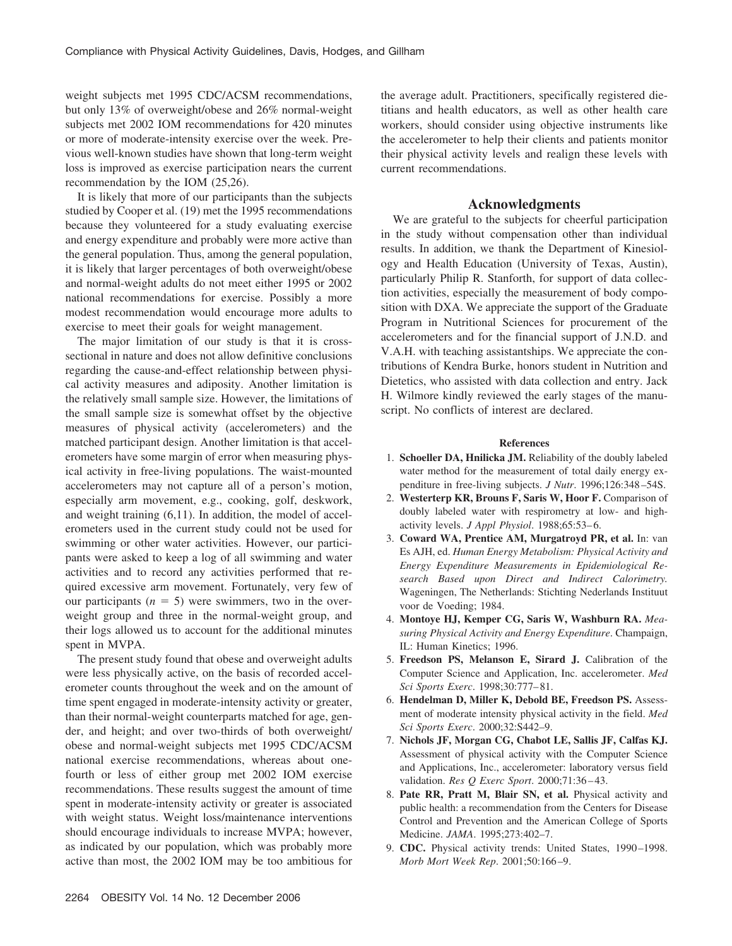weight subjects met 1995 CDC/ACSM recommendations, but only 13% of overweight/obese and 26% normal-weight subjects met 2002 IOM recommendations for 420 minutes or more of moderate-intensity exercise over the week. Previous well-known studies have shown that long-term weight loss is improved as exercise participation nears the current recommendation by the IOM (25,26).

It is likely that more of our participants than the subjects studied by Cooper et al. (19) met the 1995 recommendations because they volunteered for a study evaluating exercise and energy expenditure and probably were more active than the general population. Thus, among the general population, it is likely that larger percentages of both overweight/obese and normal-weight adults do not meet either 1995 or 2002 national recommendations for exercise. Possibly a more modest recommendation would encourage more adults to exercise to meet their goals for weight management.

The major limitation of our study is that it is crosssectional in nature and does not allow definitive conclusions regarding the cause-and-effect relationship between physical activity measures and adiposity. Another limitation is the relatively small sample size. However, the limitations of the small sample size is somewhat offset by the objective measures of physical activity (accelerometers) and the matched participant design. Another limitation is that accelerometers have some margin of error when measuring physical activity in free-living populations. The waist-mounted accelerometers may not capture all of a person's motion, especially arm movement, e.g., cooking, golf, deskwork, and weight training (6,11). In addition, the model of accelerometers used in the current study could not be used for swimming or other water activities. However, our participants were asked to keep a log of all swimming and water activities and to record any activities performed that required excessive arm movement. Fortunately, very few of our participants  $(n = 5)$  were swimmers, two in the overweight group and three in the normal-weight group, and their logs allowed us to account for the additional minutes spent in MVPA.

The present study found that obese and overweight adults were less physically active, on the basis of recorded accelerometer counts throughout the week and on the amount of time spent engaged in moderate-intensity activity or greater, than their normal-weight counterparts matched for age, gender, and height; and over two-thirds of both overweight/ obese and normal-weight subjects met 1995 CDC/ACSM national exercise recommendations, whereas about onefourth or less of either group met 2002 IOM exercise recommendations. These results suggest the amount of time spent in moderate-intensity activity or greater is associated with weight status. Weight loss/maintenance interventions should encourage individuals to increase MVPA; however, as indicated by our population, which was probably more active than most, the 2002 IOM may be too ambitious for the average adult. Practitioners, specifically registered dietitians and health educators, as well as other health care workers, should consider using objective instruments like the accelerometer to help their clients and patients monitor their physical activity levels and realign these levels with current recommendations.

## **Acknowledgments**

We are grateful to the subjects for cheerful participation in the study without compensation other than individual results. In addition, we thank the Department of Kinesiology and Health Education (University of Texas, Austin), particularly Philip R. Stanforth, for support of data collection activities, especially the measurement of body composition with DXA. We appreciate the support of the Graduate Program in Nutritional Sciences for procurement of the accelerometers and for the financial support of J.N.D. and V.A.H. with teaching assistantships. We appreciate the contributions of Kendra Burke, honors student in Nutrition and Dietetics, who assisted with data collection and entry. Jack H. Wilmore kindly reviewed the early stages of the manuscript. No conflicts of interest are declared.

#### **References**

- 1. **Schoeller DA, Hnilicka JM.** Reliability of the doubly labeled water method for the measurement of total daily energy expenditure in free-living subjects. *J Nutr*. 1996;126:348 –54S.
- 2. **Westerterp KR, Brouns F, Saris W, Hoor F.** Comparison of doubly labeled water with respirometry at low- and highactivity levels. *J Appl Physiol*. 1988;65:53– 6.
- 3. **Coward WA, Prentice AM, Murgatroyd PR, et al.** In: van Es AJH, ed. *Human Energy Metabolism: Physical Activity and Energy Expenditure Measurements in Epidemiological Research Based upon Direct and Indirect Calorimetry.* Wageningen, The Netherlands: Stichting Nederlands Instituut voor de Voeding; 1984.
- 4. **Montoye HJ, Kemper CG, Saris W, Washburn RA.** *Measuring Physical Activity and Energy Expenditure*. Champaign, IL: Human Kinetics; 1996.
- 5. **Freedson PS, Melanson E, Sirard J.** Calibration of the Computer Science and Application, Inc. accelerometer. *Med Sci Sports Exerc*. 1998;30:777– 81.
- 6. **Hendelman D, Miller K, Debold BE, Freedson PS.** Assessment of moderate intensity physical activity in the field. *Med Sci Sports Exerc*. 2000;32:S442–9.
- 7. **Nichols JF, Morgan CG, Chabot LE, Sallis JF, Calfas KJ.** Assessment of physical activity with the Computer Science and Applications, Inc., accelerometer: laboratory versus field validation. *Res Q Exerc Sport*. 2000;71:36 – 43.
- 8. **Pate RR, Pratt M, Blair SN, et al.** Physical activity and public health: a recommendation from the Centers for Disease Control and Prevention and the American College of Sports Medicine. *JAMA*. 1995;273:402–7.
- 9. **CDC.** Physical activity trends: United States, 1990-1998. *Morb Mort Week Rep*. 2001;50:166 –9.